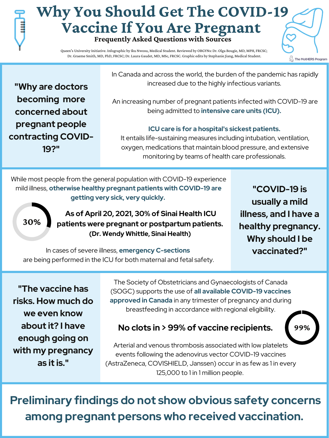## **Why You Should Get The COVID-19 Vaccine If You Are Pregnant Frequently Asked Questions with Sources**

**"Why are doctors becoming more concerned about pregnant people contracting COVID-19?"**

In Canada and across the world, the burden of the pandemic has rapidly increased due to the highly infectious variants.

An increasing number of pregnant patients infected with COVID-19 are being admitted to **intensive care units (ICU).**

#### **ICU care is for a hospital's sickest patients.**

It entails life-sustaining measures including intubation, ventilation, oxygen, medications that maintain blood pressure, and extensive monitoring by teams of health care professionals.

> **"COVID-19 is usually a mild illness, and I have a healthy pregnancy.**

 $\widetilde{\ll}$  The MotHERS Program

## **Why should I be vaccinated?"**

**30%**

In cases of severe illness, **emergency C-sections** are being performed in the ICU for both maternal and fetal safety.

While most people from the general population with COVID-19 experience mild illness, **otherwise healthy pregnant patients with COVID-19 are getting very sick, very quickly.**

**"The vaccine has risks. How much do we even know about it? I have enough going on with my pregnancy as it is. "**

The Society of Obstetricians and Gynaecologists of Canada (SOGC) supports the use of **all available COVID-19 vaccines approved in Canada** in any trimester of pregnancy and during breastfeeding in accordance with regional eligibility.



Arterial and venous thrombosis associated with low platelets events following the adenovirus vector COVID-19 vaccines (AstraZeneca, COVISHIELD, Janssen) occur in as few as 1 in every 125,000 to 1 in 1 million people.

**Preliminary findings do not show obvious safety concerns among pregnant persons who received vaccination.**

Queen's University Initiative. Infographic by Iku Nwosu, Medical Student. Reviewed by OBGYNs: Dr. Olga Bougie, MD, MPH, FRCSC; Dr. Graeme Smith, MD, PhD, FRCSC; Dr. Laura Gaudet, MD, MSc, FRCSC. Graphic edits by Stephanie Jiang, Medical Student.

**As of April 20, 2021, 30% of Sinai Health ICU patients were pregnant or postpartum patients.**

#### **(Dr. Wendy Whittle, Sinai Health)**

### **No clots in > 99% of vaccine recipients.**